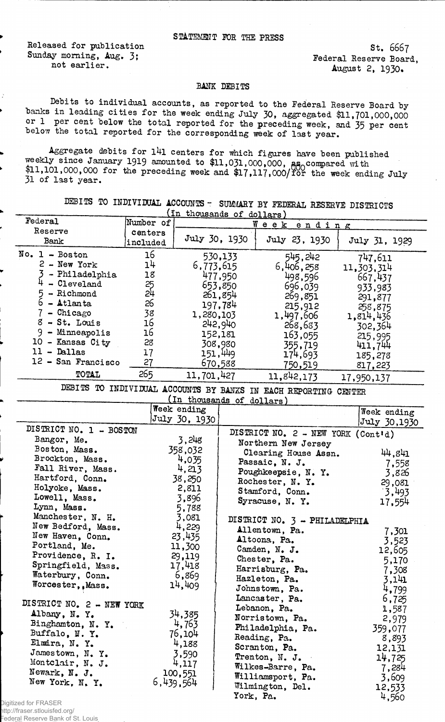Released for publication Sunday morning, Aug. 3; not earlier.

St. 6667 Federal Reserve Board, August 2, 1930.

## BANK DEBITS

Debits to individual accounts, as reported to the Federal Reserve Board by banks in leading cities for the week ending July 30, aggregated \$11,701,000,000 or 1 per cent below the total reported for the preceding week, and 35 per cent below the total reported for the corresponding week of last year.

Aggregate debits for l4l centers for which figures have been published weekly since January 1919 amounted to  $$11,031,000,000$ ,  $a_{\text{A}}$  compared with  $+1.101,000,000$  for the preceding week and  $17,117,000/70$ r the week ending July 31 of last year.

DEBITS TO INDIVIDUAL ACCOUNTS - SUMMARY BY FEDERAL RESERVE DISTRICTS

|                           |                | (In thousands of dollars) |         |                                                                 |         |               |  |
|---------------------------|----------------|---------------------------|---------|-----------------------------------------------------------------|---------|---------------|--|
| Federal                   | Number of      |                           |         | Week ending                                                     |         |               |  |
| Reserve                   | centers        |                           |         |                                                                 |         |               |  |
| Bank                      | included       | July 30, 1930             |         | July 23, 1930                                                   |         | July 31, 1929 |  |
| $No. 1 - Boston$          | 16             |                           | 530,133 | 545,242                                                         |         | 747,611       |  |
| $2 - New York$            | 1 <sup>1</sup> | 6,773,615                 |         | 6,406,258                                                       |         | 11,303,314    |  |
| - Philadelphia            | 18             |                           | 477,950 | 498,596                                                         |         | 667,437       |  |
| $4 - C1$ eveland          | 25<br>24       |                           | 653,850 | 696,039                                                         |         | 933,983       |  |
| 5<br>- Richmond           |                |                           | 261,854 | 269,851                                                         |         | 291,877       |  |
| $6 -$ Atlanta             | 26             |                           | 197,784 | 215,912                                                         |         | 258,875       |  |
| $7 -$ Chicago             | 38             | 1,280,103                 |         | 1,497,606                                                       |         | 1,814,436     |  |
| $8 - St. Louis$           | 16             |                           | 242,940 | 268,683                                                         |         |               |  |
| 9 - Minneapolis           | 16             |                           | 152,181 |                                                                 |         | 302,364       |  |
| 10 - Kansas City          | 28             |                           | 308,980 | 163,055                                                         |         | 215,995       |  |
| $11 -$ Dallas             | 17             |                           | 151,449 | 355,719                                                         |         | 411,744       |  |
| 12 - San Francisco        | 27             |                           | 670,588 | 174,693                                                         | 185,278 |               |  |
|                           |                |                           |         | 750,519                                                         |         | 817,223       |  |
| TOTAL                     | 265            | 11,701,427                |         | 11,842,173                                                      |         | 17,950,137    |  |
|                           |                |                           |         | DEBITS TO INDIVIDUAL ACCOUNTS BY BANKS IN EACH REPORTING CENTER |         |               |  |
|                           |                | (In thousands of dollars) |         |                                                                 |         |               |  |
|                           |                | Week ending               |         |                                                                 |         | Week ending   |  |
|                           |                | July 30, 1930             |         |                                                                 |         | July 30,1930  |  |
| DISTRICT NO. 1 - BOSTON   |                |                           |         | DISTRICT NO. 2 - NEW YORK (Cont'd)                              |         |               |  |
| Bangor, Me.               |                | 3,248                     |         | Northern New Jersey                                             |         |               |  |
| Boston, Mass.             |                | 358,032                   |         | Clearing House Assn.                                            |         | 44,841        |  |
| Brockton, Mass.           |                | 4,035                     |         | Passaic, N. J.                                                  |         | 7,558         |  |
| Fall River, Mass.         |                | 4,213                     |         | Poughkeepsie, N. Y.                                             |         | 3,826         |  |
| Hartford, Conn.           |                | 38,250                    |         | Rochester, N.Y.                                                 |         | 29,081        |  |
| Holyoke, Mass.            |                | 2,811                     |         | Stamford, Conn.                                                 |         | 3,493         |  |
| Lowell, Mass.             |                | 3,896                     |         | Syracuse, N.Y.                                                  |         | 17,554        |  |
| Lynn, Mass.               |                | 5,788                     |         |                                                                 |         |               |  |
| Manchester, N. H.         |                | 3,081                     |         | DISTRICT NO. 3 - PHILADELPHIA                                   |         |               |  |
| New Bedford, Mass.        |                | 4,229                     |         | Allentown, Pa.                                                  |         | 7,301         |  |
| New Haven, Conn.          |                | 23,435                    |         | Altoona, Pa.                                                    |         | 3,523         |  |
| Portland, Me.             |                | 11,300                    |         | Camden, N. J.                                                   |         | 12,605        |  |
| Providence, R. I.         |                | 29,119                    |         | Chester, Pa.                                                    |         | 5,170         |  |
| Springfield, Mass.        |                | 17,418                    |         | Harrisburg, Pa.                                                 |         | 7,308         |  |
| Waterbury, Conn.          |                | 6,869                     |         | Hazleton, Pa.                                                   |         | 3,141         |  |
| Worcester,, Mass.         |                | 14,409                    |         | Johnstown, Pa.                                                  |         | 4,799         |  |
|                           |                |                           |         | Lancaster, Pa.                                                  |         |               |  |
| DISTRICT NO. 2 - NEW YORK |                |                           |         | Lebanon, Pa.                                                    |         | 6,725         |  |
| Albany, N.Y.              |                | 34,385                    |         |                                                                 |         | 1,587         |  |
| Binghamton, N.Y.          |                | 4,763                     |         | Norristown, Pa.                                                 |         | 2,979         |  |
| Buffalo, N.Y.             |                | 76,104                    |         | Philadelphia, Pa.                                               |         | 359,077       |  |
| Elmira, N.Y.              |                | 4,188                     |         | Reading, Pa.                                                    |         | 8,893         |  |
| Jamestown, N.Y.           |                | 3,590                     |         | Scranton, Pa.                                                   |         | 12,131        |  |
| Montclair, N. J.          |                | 4,117                     |         | Trenton, N. J.                                                  |         | 14,725        |  |
| Newark, N. J.             |                | 100,551                   |         | Wilkes-Barre, Pa.                                               |         | 7,284         |  |
| New York, N.Y.            |                | 6,439,564                 |         | Williamsport, Pa.                                               |         | 3,609         |  |
|                           |                |                           |         | Wilmington, Del.                                                |         | 12,533        |  |
|                           |                |                           |         | York, Pa.                                                       |         | 4,560         |  |

Digitized for FRASER

http://fraser.stlouisfed.org/ Federal Reserve Bank of St. Louis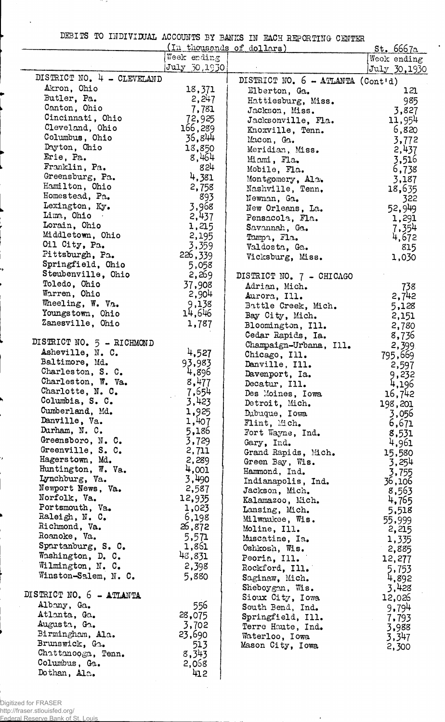|  | DEBITS TO INDIVIDUAL ACCOUNTS BY BANKS IN EACH REPORTING CENTER |  |  |  |  |
|--|-----------------------------------------------------------------|--|--|--|--|
|  |                                                                 |  |  |  |  |

 $\ddot{\phantom{0}}$ 

- 2

l.

|                            |                 | THE AT DOWN TO DE DEVELOP IN THE LATER CELLING CENTER<br>(In thousands of dollars) |                                     |
|----------------------------|-----------------|------------------------------------------------------------------------------------|-------------------------------------|
|                            | Week ending     |                                                                                    | <u>st. 6667a </u>                   |
|                            | July 30,1930    |                                                                                    | Week ending<br>July 30,1930         |
| DISTRICT NO. 4 - CLEVELAND |                 |                                                                                    |                                     |
| Akron, Ohio                | 18,371          | DISTRICT NO. $6 - \text{ATLANTA} (\text{Contid})$                                  |                                     |
| Butler, Pa.                | 2,247           | Elberton, Ga.                                                                      | 121                                 |
| Canton, Ohio               | 7,781           | Hattiesburg, Miss.                                                                 | 985                                 |
| Cincinnati, Ohio           | 72,925          | Jackson, Miss.                                                                     | 3,827                               |
| Cleveland, Ohio            | 166,289         | Jacksonville, Fla.                                                                 | 11,954                              |
| Columbus, Ohio             | 36,844          | Knoxville, Tenn.                                                                   | 6,820                               |
| Dayton, Ohio               | 18,850          | Macon, Ga.                                                                         | 3,772                               |
| Erie, Pa.                  | 8,464           | Meridian, Miss.                                                                    | 2,437                               |
| Franklin, Pa.              | 824             | Miami, Fla.                                                                        | 3,516                               |
| Greensburg, Pa.            | 4,381           | Mobile, Fla.                                                                       | 6,738                               |
| Hamilton, Ohio             | 2,758           | Montgomery, Ala.                                                                   | 3,187                               |
| Homestead, Pa.             | 893             | Nashville, Tenn.                                                                   | 18,635                              |
| Lexington, Ky.             | 3,968           | Newman, Ga.                                                                        | 322                                 |
| Lima, Ohio                 | 2,437           | New Orleans, La.                                                                   | 52,949                              |
| Lorain, Ohio               | 1,215           | Pensacola, Fla.                                                                    | 1,291                               |
| Middletown, Ohio           |                 | Savannah, Ga.                                                                      | 7,354                               |
| Oil City, Pa.              | 2,195<br>3,359  | Tampa, Fla.                                                                        | 4,672                               |
| Pittsburgh, Pa.            | 226,339         | Valdosta, Ga.                                                                      | 815                                 |
| Springfield, Ohio          | 5,058           | Vicksburg, Miss.                                                                   | 1,030                               |
| Steubenville, Ohio         | 2,269           |                                                                                    |                                     |
| Toledo, Ohio               |                 | DISTRICT NO. 7 - CHICAGO                                                           |                                     |
| Warren, Ohio               | 37,908<br>2,904 | Adrian, Mich.                                                                      | 738                                 |
| Wheeling, W. Va.           | 9,138           | Aurora, Ill.                                                                       | 2,742                               |
| Youngstown, Ohio           | 14,646          | Battle Creek, Mich.                                                                | 5,128                               |
| Zanesville, Ohio           |                 | Bay City, Mich.                                                                    | 2,151                               |
|                            | 1,787           | Bloomington, Ill.                                                                  | 2,780                               |
| DISTRICT NO. 5 - RICHMOND  |                 | Cedar Rapids, Ia.                                                                  | 8,736                               |
| Asheville, N. C.           | 4,527           | Champaign-Urbana, Ill.                                                             | 2,399                               |
| Baltimore, Md.             | 93,983          | Chicago, Ill.                                                                      | 795,669                             |
| Charleston, S. C.          | 4,896           | Danville, Ill.                                                                     | 2,597                               |
| Charleston, W. Va.         | 8,477           | Davenport, Ia.                                                                     | 9,232                               |
| Charlotte, N. C.           | 7,654           | Decatur, Ill.                                                                      | 4,196                               |
| Columbia, S. C.            | 3,423           | Des Moines, Iowa                                                                   | 16,742                              |
| Cumberland, Md.            | 1,925           | Detroit, Mich.                                                                     | 198,201                             |
| Danville, Va.              | 1,407           | Dubuque, Iowa                                                                      | 3,056                               |
| Durham, N. C.              | 5,186           | Flint, Mich.<br>Fort Wayne, Ind.                                                   | 6,671                               |
| Greensboro, N. C.          | 3,729           |                                                                                    | 8,531                               |
| Greenville, S. C.          | 2,711           | Gary, Ind.                                                                         | 4,961                               |
| Hagerstown, Md.            | 2,289           | Grand Rapids, Mich.<br>Green Bay, Wis.                                             | 15,580<br>3,254                     |
| Huntington, W. Va.         | 4,001           | Hammond, Ind.                                                                      |                                     |
| Lynchburg, Va.             | 3,490           | Indianapolis, Ind.                                                                 | 3,755<br>36,106                     |
| Newport News, Va.          | 2,587           | Jackson, Mich.                                                                     | 8,563                               |
| Norfolk, Va.               | 12,935          | Kalamazoo, Mich.                                                                   | 4,765                               |
| Portsmouth, Va.            | 1,023           | Lansing, Mich.                                                                     | 5,518                               |
| Raleigh, N. C.             | 6,198           | Milwaukee, Wis.                                                                    | 55,999                              |
| Richmond, Va.              | 26,872          | Moline, Ill.                                                                       | 2,215                               |
| Roanoke, Va.               | 5,571           | Muscatine, Ia.                                                                     | 1,335                               |
| Spartanburg, S. C.         | 1,861           | Oshkosh, Wis.                                                                      | 2,885                               |
| Washington, D. C.          | 48,831          | Peoria, Ill.                                                                       | 12,277                              |
| Wilmington, N. C.          | 2,398           | Rockford, Ill.                                                                     | 5,753                               |
| Winston-Salem, N. C.       | 5,880           | Saginaw, Mich.                                                                     | 4,892                               |
|                            |                 | Sheboygan, Wis.                                                                    | 3,428                               |
| DISTRICT NO. 6 - ATLANTA   |                 | Sioux City, Iowa                                                                   | 12,026                              |
| Albany, Ga.                | 556             | South Bend, Ind.                                                                   | 9.794                               |
| Atlanta, Ga.               | 28,075          | Springfield, Ill.                                                                  | 7,793<br>$\mathcal{L}^{\text{max}}$ |
| Augusta, Ga.               | 3,702           | Terre Haute, Ind.                                                                  | 3,988                               |
| Birmingham, Ala.           | 23,690          | Waterloo, Iowa                                                                     | 3,347                               |
| Brunswick, Ga.             | 513             | Mason City, Iowa                                                                   | 2,300                               |
| Chattanooga, Tenn.         | 8,343           |                                                                                    |                                     |
| Columbus, Ga.              | 2,068           |                                                                                    |                                     |
| Dothan, Alc.               | 412             |                                                                                    |                                     |

 $\sim$ 

 $\cdot$ 

Digitized for FRASER

J,

http://fraser.stlouisfed.org/ Federal Reserve Bank of St. Louis